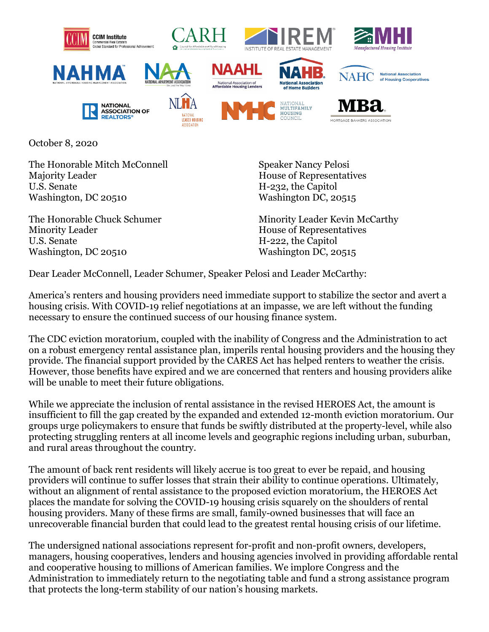



**NATIONAL** ASSOCIATION OF

**REALTORS** 







**National Association** 

of Housing Cooperatives



**LEASED HOUSING ASSOCIATION** 





**HOUSING** 



**NAHC** 

October 8, 2020

The Honorable Mitch McConnell Majority Leader U.S. Senate Washington, DC 20510

The Honorable Chuck Schumer Minority Leader U.S. Senate Washington, DC 20510

Speaker Nancy Pelosi House of Representatives H-232, the Capitol Washington DC, 20515

Minority Leader Kevin McCarthy House of Representatives H-222, the Capitol Washington DC, 20515

Dear Leader McConnell, Leader Schumer, Speaker Pelosi and Leader McCarthy:

America's renters and housing providers need immediate support to stabilize the sector and avert a housing crisis. With COVID-19 relief negotiations at an impasse, we are left without the funding necessary to ensure the continued success of our housing finance system.

The CDC eviction moratorium, coupled with the inability of Congress and the Administration to act on a robust emergency rental assistance plan, imperils rental housing providers and the housing they provide. The financial support provided by the CARES Act has helped renters to weather the crisis. However, those benefits have expired and we are concerned that renters and housing providers alike will be unable to meet their future obligations.

While we appreciate the inclusion of rental assistance in the revised HEROES Act, the amount is insufficient to fill the gap created by the expanded and extended 12-month eviction moratorium. Our groups urge policymakers to ensure that funds be swiftly distributed at the property-level, while also protecting struggling renters at all income levels and geographic regions including urban, suburban, and rural areas throughout the country.

The amount of back rent residents will likely accrue is too great to ever be repaid, and housing providers will continue to suffer losses that strain their ability to continue operations. Ultimately, without an alignment of rental assistance to the proposed eviction moratorium, the HEROES Act places the mandate for solving the COVID-19 housing crisis squarely on the shoulders of rental housing providers. Many of these firms are small, family-owned businesses that will face an unrecoverable financial burden that could lead to the greatest rental housing crisis of our lifetime.

The undersigned national associations represent for-profit and non-profit owners, developers, managers, housing cooperatives, lenders and housing agencies involved in providing affordable rental and cooperative housing to millions of American families. We implore Congress and the Administration to immediately return to the negotiating table and fund a strong assistance program that protects the long-term stability of our nation's housing markets.